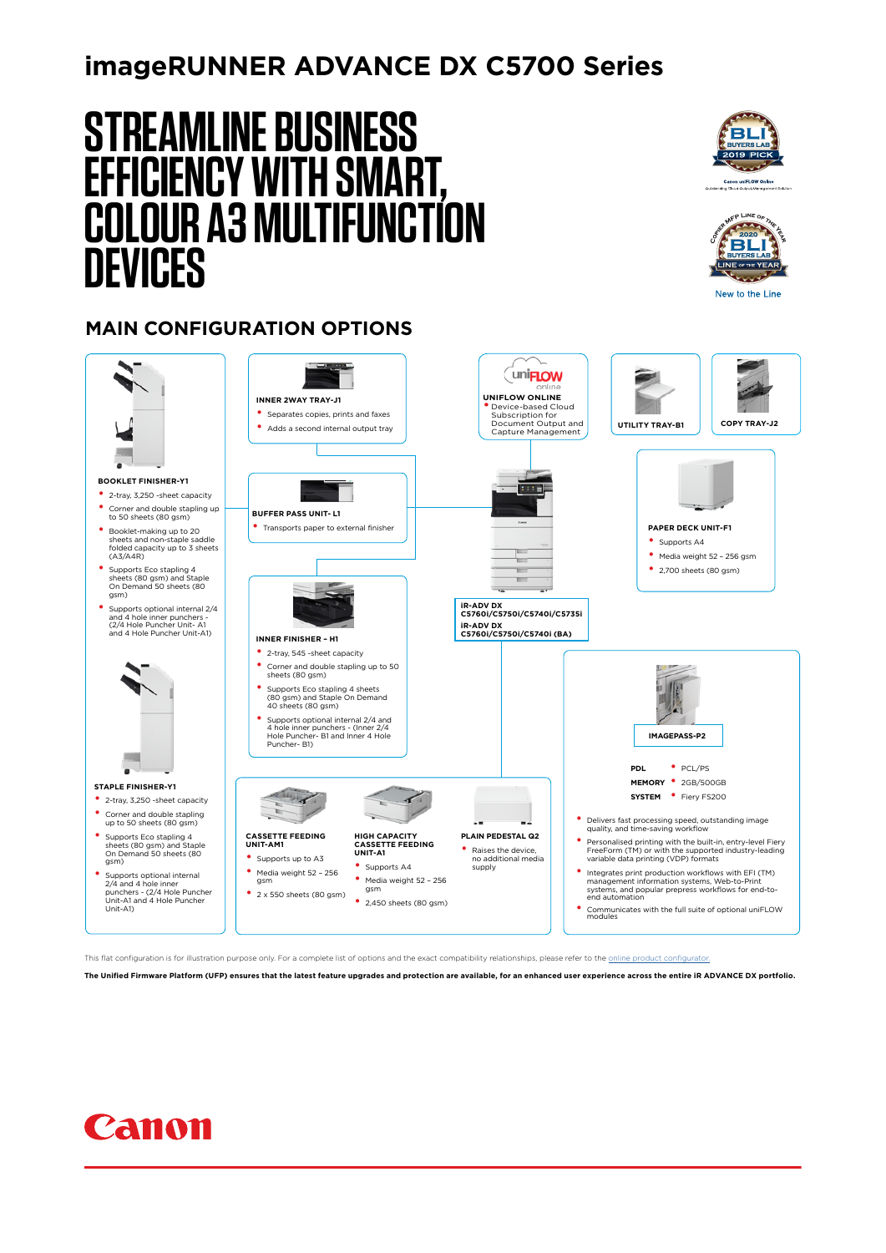# **imageRUNNER ADVANCE DX C5700 Series**

# **STREAMLINE BUSINESS EFFICIENCY WITH SMART, COLOUR A3 MULTIFUNCTION DEVICES**





New to the Line

## **MAIN CONFIGURATION OPTIONS**



This flat configuration is for illustration purpose only. For a complete list of options and the exact compatibility relationships, please refer to the online

**The Unified Firmware Platform (UFP) ensures that the latest feature upgrades and protection are available, for an enhanced user experience across the entire iR ADVANCE DX portfolio.**

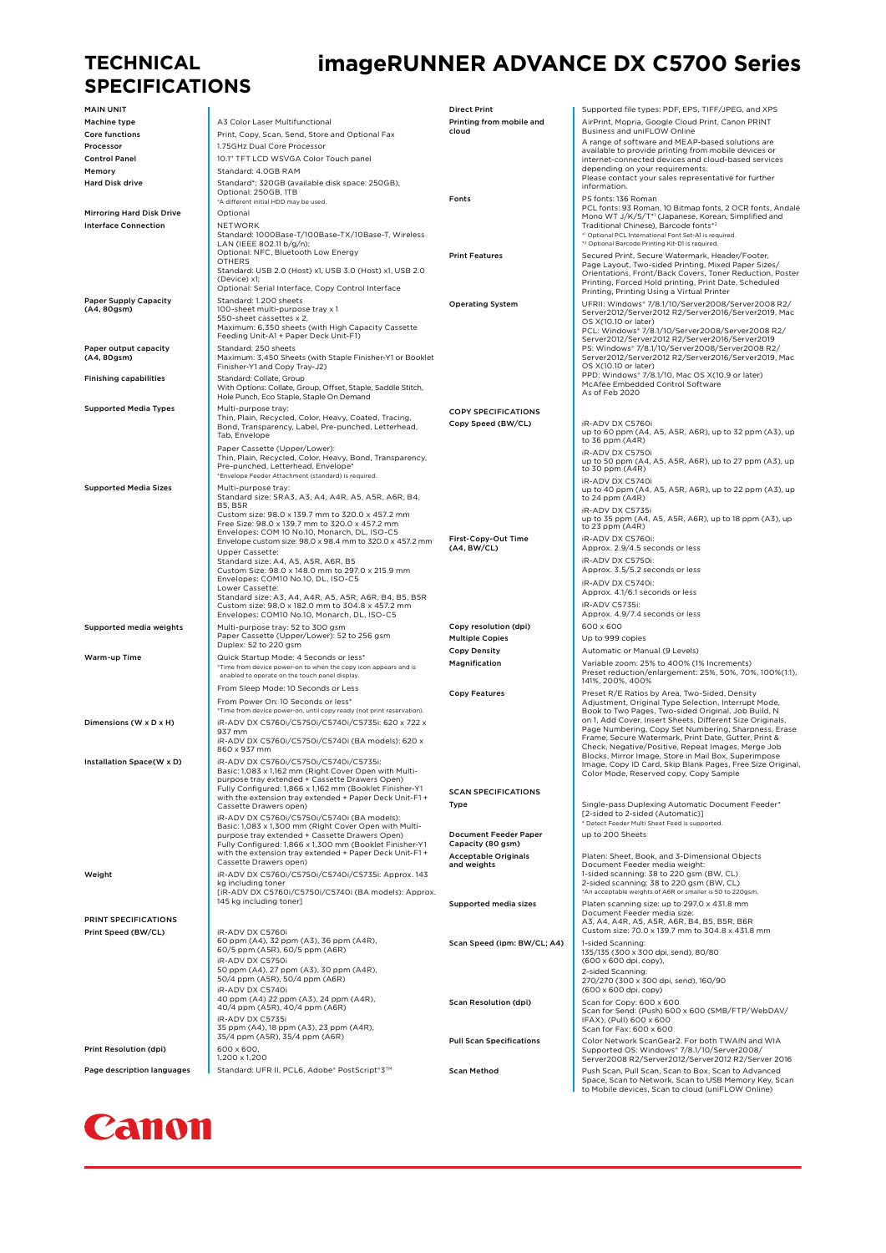#### **TECHNICAL SPECIFICATIONS**

## **imageRUNNER ADVANCE DX C5700 Series**

| <b>MAIN UNIT</b>                 |                                                                                                                   | <b>Direct Print</b>                        | Supported file types: PDF, EPS, TIFF/JPEG, and XPS                                                                                                               |
|----------------------------------|-------------------------------------------------------------------------------------------------------------------|--------------------------------------------|------------------------------------------------------------------------------------------------------------------------------------------------------------------|
| Machine type                     | A3 Color Laser Multifunctional                                                                                    | Printing from mobile and                   | AirPrint, Mopria, Google Cloud Print, Canon PRINT                                                                                                                |
| <b>Core functions</b>            | Print, Copy, Scan, Send, Store and Optional Fax                                                                   | cloud                                      | Business and uniFLOW Online                                                                                                                                      |
| Processor                        | 1.75GHz Dual Core Processor                                                                                       |                                            | A range of software and MEAP-based solutions are                                                                                                                 |
| <b>Control Panel</b>             | 10.1" TFT LCD WSVGA Color Touch panel                                                                             |                                            | available to provide printing from mobile devices or<br>internet-connected devices and cloud-based services                                                      |
| Memory                           | Standard: 4.0GB RAM                                                                                               |                                            | depending on your requirements.                                                                                                                                  |
| <b>Hard Disk drive</b>           | Standard*: 320GB (available disk space: 250GB).                                                                   |                                            | Please contact your sales representative for further                                                                                                             |
|                                  | Optional: 250GB, 1TB                                                                                              |                                            | information.                                                                                                                                                     |
|                                  | *A different initial HDD may be used.                                                                             | Fonts                                      | PS fonts: 136 Roman<br>PCL fonts: 93 Roman, 10 Bitmap fonts, 2 OCR fonts, Andalé                                                                                 |
| <b>Mirroring Hard Disk Drive</b> | Optional                                                                                                          |                                            | Mono WT J/K/S/T*1 (Japanese, Korean, Simplified and                                                                                                              |
| <b>Interface Connection</b>      | NETWORK                                                                                                           |                                            | Traditional Chinese), Barcode fonts*2                                                                                                                            |
|                                  | Standard: 1000Base-T/100Base-TX/10Base-T, Wireless                                                                |                                            | *1 Optional PCL International Font Set-A1 is required.                                                                                                           |
|                                  | LAN (IEEE 802.11 b/g/n);<br>Optional: NFC, Bluetooth Low Energy                                                   |                                            | * <sup>2</sup> Optional Barcode Printing Kit-D1 is required.                                                                                                     |
|                                  | <b>OTHERS</b>                                                                                                     | <b>Print Features</b>                      | Secured Print, Secure Watermark, Header/Footer,<br>Page Layout, Two-sided Printing, Mixed Paper Sizes/                                                           |
|                                  | Standard: USB 2.0 (Host) x1, USB 3.0 (Host) x1, USB 2.0                                                           |                                            | Orientations, Front/Back Covers, Toner Reduction, Poster                                                                                                         |
|                                  | (Device) x1;<br>Optional: Serial Interface, Copy Control Interface                                                |                                            | Printing, Forced Hold printing, Print Date, Scheduled                                                                                                            |
| <b>Paper Supply Capacity</b>     | Standard: 1.200 sheets                                                                                            |                                            | Printing, Printing Using a Virtual Printer                                                                                                                       |
| (A4, 80gsm)                      | 100-sheet multi-purpose tray x 1                                                                                  | <b>Operating System</b>                    | UFRII: Windows* 7/8.1/10/Server2008/Server2008 R2/<br>Server2012/Server2012 R2/Server2016/Server2019, Mac                                                        |
|                                  | 550-sheet cassettes x 2,                                                                                          |                                            | OS X(10.10 or later)                                                                                                                                             |
|                                  | Maximum: 6,350 sheets (with High Capacity Cassette<br>Feeding Unit-A1 + Paper Deck Unit-F1)                       |                                            | PCL: Windows* 7/8.1/10/Server2008/Server2008 R2/                                                                                                                 |
| Paper output capacity            | Standard: 250 sheets                                                                                              |                                            | Server2012/Server2012 R2/Server2016/Server2019<br>PS: Windows* 7/8.1/10/Server2008/Server2008 R2/                                                                |
| (A4, 80gsm)                      | Maximum: 3,450 Sheets (with Staple Finisher-Y1 or Booklet                                                         |                                            | Server2012/Server2012 R2/Server2016/Server2019, Mac                                                                                                              |
|                                  | Finisher-Y1 and Copy Tray-J2)                                                                                     |                                            | OS X(10.10 or later)                                                                                                                                             |
| <b>Finishing capabilities</b>    | Standard: Collate, Group                                                                                          |                                            | PPD: Windows* 7/8.1/10, Mac OS X(10.9 or later)                                                                                                                  |
|                                  | With Options: Collate, Group, Offset, Staple, Saddle Stitch,                                                      |                                            | McAfee Embedded Control Software<br>As of Feb 2020                                                                                                               |
|                                  | Hole Punch, Eco Staple, Staple On Demand                                                                          |                                            |                                                                                                                                                                  |
| <b>Supported Media Types</b>     | Multi-purpose tray:<br>Thin, Plain, Recycled, Color, Heavy, Coated, Tracing,                                      | <b>COPY SPECIFICATIONS</b>                 |                                                                                                                                                                  |
|                                  | Bond, Transparency, Label, Pre-punched, Letterhead,                                                               | Copy Speed (BW/CL)                         | iR-ADV DX C5760i                                                                                                                                                 |
|                                  | Tab, Envelope                                                                                                     |                                            | up to 60 ppm (A4, A5, A5R, A6R), up to 32 ppm (A3), up<br>to 36 ppm (A4R)                                                                                        |
|                                  | Paper Cassette (Upper/Lower):                                                                                     |                                            | iR-ADV DX C5750i                                                                                                                                                 |
|                                  | Thin, Plain, Recycled, Color, Heavy, Bond, Transparency,                                                          |                                            | up to 50 ppm (A4, A5, A5R, A6R), up to 27 ppm (A3), up                                                                                                           |
|                                  | Pre-punched, Letterhead, Envelope*<br>*Envelope Feeder Attachment (standard) is required.                         |                                            | to 30 ppm (A4R)                                                                                                                                                  |
| <b>Supported Media Sizes</b>     | Multi-purpose tray:                                                                                               |                                            | iR-ADV DX C5740i                                                                                                                                                 |
|                                  | Standard size: SRA3, A3, A4, A4R, A5, A5R, A6R, B4,                                                               |                                            | up to 40 ppm (A4, A5, A5R, A6R), up to 22 ppm (A3), up<br>to 24 ppm (A4R)                                                                                        |
|                                  | <b>B5. B5R</b>                                                                                                    |                                            | iR-ADV DX C5735i                                                                                                                                                 |
|                                  | Custom size: 98.0 x 139.7 mm to 320.0 x 457.2 mm<br>Free Size: 98.0 x 139.7 mm to 320.0 x 457.2 mm                |                                            | up to 35 ppm (A4, A5, A5R, A6R), up to 18 ppm (A3), up                                                                                                           |
|                                  | Envelopes: COM 10 No.10, Monarch, DL, ISO-C5                                                                      |                                            | to 23 ppm (A4R)                                                                                                                                                  |
|                                  | Envelope custom size: 98.0 x 98.4 mm to 320.0 x 457.2 mm                                                          | First-Copy-Out Time<br>(A4, BW/CL)         | iR-ADV DX C5760i:<br>Approx. 2.9/4.5 seconds or less                                                                                                             |
|                                  | Upper Cassette:                                                                                                   |                                            |                                                                                                                                                                  |
|                                  | Standard size: A4, A5, A5R, A6R, B5<br>Custom Size: 98.0 x 148.0 mm to 297.0 x 215.9 mm                           |                                            | iR-ADV DX C5750i:<br>Approx. 3.5/5.2 seconds or less                                                                                                             |
|                                  | Envelopes: COM10 No.10, DL, ISO-C5                                                                                |                                            | iR-ADV DX C5740i:                                                                                                                                                |
|                                  | Lower Cassette:                                                                                                   |                                            | Approx. 4.1/6.1 seconds or less                                                                                                                                  |
|                                  | Standard size: A3, A4, A4R, A5, A5R, A6R, B4, B5, B5R<br>Custom size: 98.0 x 182.0 mm to 304.8 x 457.2 mm         |                                            | iR-ADV C5735i:                                                                                                                                                   |
|                                  | Envelopes: COM10 No.10, Monarch, DL, ISO-C5                                                                       |                                            | Approx. 4.9/7.4 seconds or less                                                                                                                                  |
| Supported media weights          | Multi-purpose tray: 52 to 300 gsm                                                                                 | Copy resolution (dpi)                      | 600 x 600                                                                                                                                                        |
|                                  | Paper Cassette (Upper/Lower): 52 to 256 gsm                                                                       | <b>Multiple Copies</b>                     | Up to 999 copies                                                                                                                                                 |
|                                  | Duplex: 52 to 220 gsm                                                                                             | <b>Copy Density</b>                        | Automatic or Manual (9 Levels)                                                                                                                                   |
| <b>Warm-up Time</b>              | Quick Startup Mode: 4 Seconds or less*                                                                            | Magnification                              | Variable zoom: 25% to 400% (1% Increments)                                                                                                                       |
|                                  | *Time from device power-on to when the copy icon appears and is<br>enabled to operate on the touch panel display. |                                            | Preset reduction/enlargement: 25%, 50%, 70%, 100%(1:1),                                                                                                          |
|                                  | From Sleep Mode: 10 Seconds or Less                                                                               |                                            | 141%, 200%, 400%                                                                                                                                                 |
|                                  |                                                                                                                   | <b>Copy Features</b>                       | Preset R/E Ratios by Area, Two-Sided, Density                                                                                                                    |
|                                  | From Power On: 10 Seconds or less*<br>*Time from device power-on, until copy ready (not print reservation).       |                                            | Adjustment, Original Type Selection, Interrupt Mode,<br>Book to Two Pages, Two-sided Original, Job Build, N                                                      |
| Dimensions (W x D x H)           | iR-ADV DX C5760i/C5750i/C5740i/C5735i: 620 x 722 x                                                                |                                            | on 1, Add Cover, Insert Sheets, Different Size Originals,                                                                                                        |
|                                  | 937 mm                                                                                                            |                                            | Page Numbering, Copy Set Numbering, Sharpness, Erase                                                                                                             |
|                                  | iR-ADV DX C5760i/C5750i/C5740i (BA models): 620 x                                                                 |                                            | Frame, Secure Watermark, Print Date, Gutter, Print &                                                                                                             |
|                                  | 860 x 937 mm                                                                                                      |                                            | Check, Negative/Positive, Repeat Images, Merge Job<br>Blocks, Mirror Image, Store in Mail Box, Superimpose                                                       |
| Installation Space(W x D)        | iR-ADV DX C5760i/C5750i/C5740i/C5735i:                                                                            |                                            | Image, Copy ID Card, Skip Blank Pages, Free Size Original,                                                                                                       |
|                                  | Basic: 1,083 x 1,162 mm (Right Cover Open with Multi-<br>purpose tray extended + Cassette Drawers Open)           |                                            | Color Mode, Reserved copy, Copy Sample                                                                                                                           |
|                                  | Fully Configured: 1,866 x 1,162 mm (Booklet Finisher-Y1                                                           | <b>SCAN SPECIFICATIONS</b>                 |                                                                                                                                                                  |
|                                  | with the extension tray extended + Paper Deck Unit-F1 +                                                           | Type                                       | Single-pass Duplexing Automatic Document Feeder*                                                                                                                 |
|                                  | Cassette Drawers open)<br>iR-ADV DX C5760i/C5750i/C5740i (BA models):                                             |                                            | [2-sided to 2-sided (Automatic)]                                                                                                                                 |
|                                  | Basic: 1.083 x 1.300 mm (Right Cover Open with Multi-                                                             |                                            | * Detect Feeder Multi Sheet Feed is supported.                                                                                                                   |
|                                  | purpose tray extended + Cassette Drawers Open)                                                                    | <b>Document Feeder Paper</b>               | up to 200 Sheets                                                                                                                                                 |
|                                  | Fully Configured: 1,866 x 1,300 mm (Booklet Finisher-Y1                                                           | Capacity (80 gsm)                          |                                                                                                                                                                  |
|                                  | with the extension tray extended + Paper Deck Unit-F1 +<br>Cassette Drawers open)                                 | <b>Acceptable Originals</b><br>and weights | Platen: Sheet, Book, and 3-Dimensional Objects<br>Document Feeder media weight:                                                                                  |
| Weight                           | iR-ADV DX C5760i/C5750i/C5740i/C5735i: Approx. 143                                                                |                                            | 1-sided scanning: 38 to 220 gsm (BW, CL)                                                                                                                         |
|                                  | kg including toner                                                                                                |                                            | 2-sided scanning: 38 to 220 gsm (BW, CL)                                                                                                                         |
|                                  | [iR-ADV DX C5760i/C5750i/C5740i (BA models): Approx.                                                              |                                            | *An acceptable weights of A6R or smaller is 50 to 220gsm.                                                                                                        |
|                                  | 145 kg including toner]                                                                                           | Supported media sizes                      | Platen scanning size: up to 297.0 x 431.8 mm                                                                                                                     |
| PRINT SPECIFICATIONS             |                                                                                                                   |                                            | Document Feeder media size:<br>A3, A4, A4R, A5, A5R, A6R, B4, B5, B5R, B6R                                                                                       |
| Print Speed (BW/CL)              | iR-ADV DX C5760i                                                                                                  |                                            | Custom size: 70.0 x 139.7 mm to 304.8 x 431.8 mm                                                                                                                 |
|                                  | 60 ppm (A4), 32 ppm (A3), 36 ppm (A4R),                                                                           | Scan Speed (ipm: BW/CL; A4)                | 1-sided Scanning:                                                                                                                                                |
|                                  | 60/5 ppm (A5R), 60/5 ppm (A6R)                                                                                    |                                            | 135/135 (300 x 300 dpi, send), 80/80                                                                                                                             |
|                                  | iR-ADV DX C5750i                                                                                                  |                                            | (600 x 600 dpi, copy),                                                                                                                                           |
|                                  | 50 ppm (A4), 27 ppm (A3), 30 ppm (A4R),<br>50/4 ppm (A5R), 50/4 ppm (A6R)                                         |                                            | 2-sided Scanning:<br>270/270 (300 x 300 dpi, send), 160/90                                                                                                       |
|                                  | iR-ADV DX C5740i                                                                                                  |                                            | (600 x 600 dpi, copy)                                                                                                                                            |
|                                  | 40 ppm (A4) 22 ppm (A3), 24 ppm (A4R),                                                                            | <b>Scan Resolution (dpi)</b>               | Scan for Copy: 600 x 600                                                                                                                                         |
|                                  | 40/4 ppm (A5R), 40/4 ppm (A6R)                                                                                    |                                            | Scan for Send: (Push) 600 x 600 (SMB/FTP/WebDAV/                                                                                                                 |
|                                  | iR-ADV DX C5735i<br>35 ppm (A4), 18 ppm (A3), 23 ppm (A4R),                                                       |                                            | IFAX), (Pull) 600 x 600                                                                                                                                          |
|                                  | 35/4 ppm (A5R), 35/4 ppm (A6R)                                                                                    |                                            | Scan for Fax: 600 x 600                                                                                                                                          |
| Print Resolution (dpi)           | 600 x 600,                                                                                                        | <b>Pull Scan Specifications</b>            | Color Network ScanGear2. For both TWAIN and WIA<br>Supported OS: Windows* 7/8.1/10/Server2008/                                                                   |
|                                  | 1,200 x 1,200                                                                                                     |                                            | Server2008 R2/Server2012/Server2012 R2/Server 2016                                                                                                               |
| Page description languages       | Standard: UFR II, PCL6, Adobe® PostScript®3™                                                                      | <b>Scan Method</b>                         | Push Scan, Pull Scan, Scan to Box, Scan to Advanced<br>Space, Scan to Network, Scan to USB Memory Key, Scan<br>to Mobile devices, Scan to cloud (uniFLOW Online) |

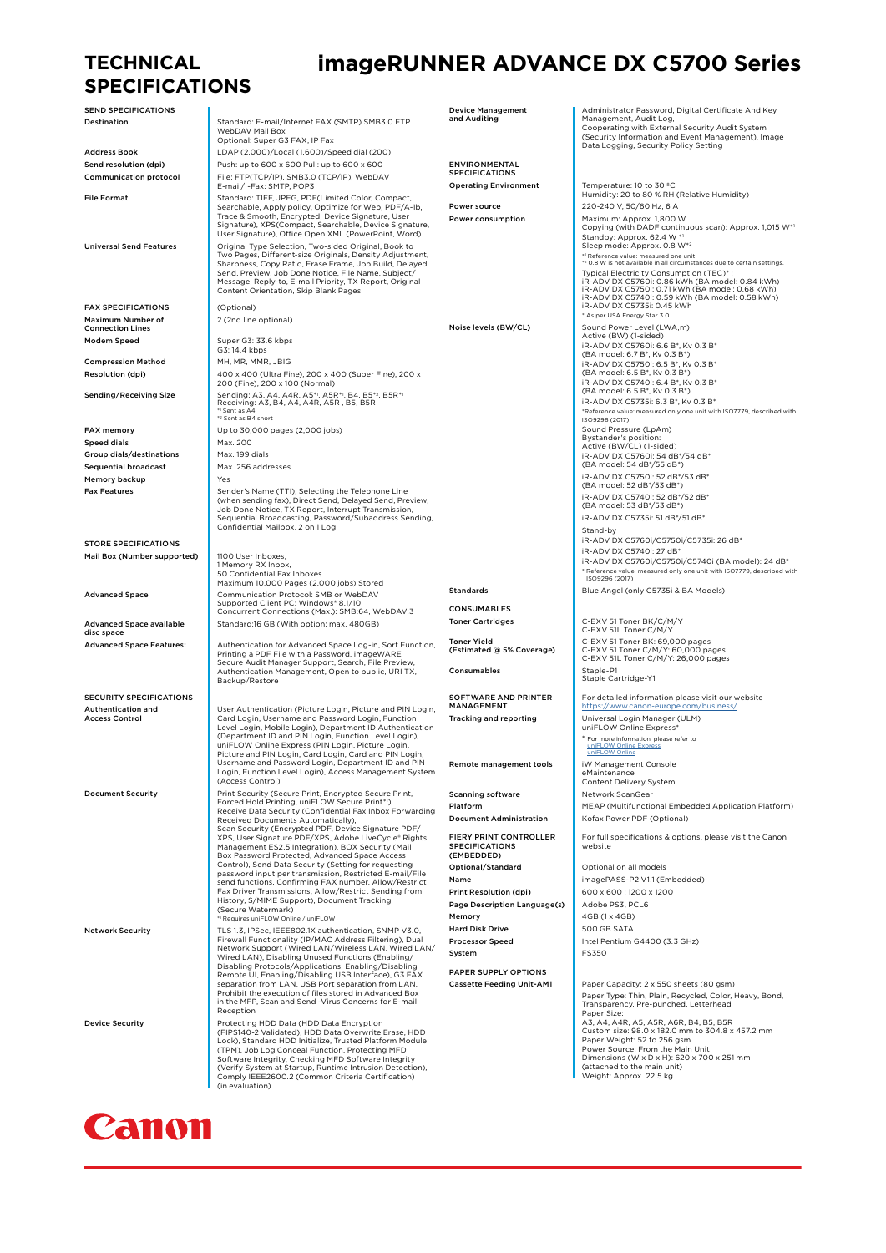#### **TECHNICAL SPECIFICATIONS**

SEND SPECIFICATIONS

FAX SPECIFICATIONS (Optional) Maximum Number of Connection Lines

Speed dials Max. 200 Group dials/destinations Max. 199 dials Sequential broadcast Max. 256 addresses Memory backup **Wess** 

STORE SPECIFICATIONS Mail Box (Number supported) 1100 User Inboxes

Advanced Space available disc space

SECURITY SPECIFICATIONS Authentication and Access Control

Destination **Standard: E-mail/Internet FAX (SMTP) SMB3.0 FTP** WebDAV Mail Box Optional: Super G3 FAX, IP Fax Address Book LDAP (2,000)/Local (1,600)/Speed dial (200) Send resolution (dpi) Push: up to 600 x 600 Pull: up to 600 x 600 Communication protocol File: FTP(TCP/IP), SMB3.0 (TCP/IP), WebDAV E-mail/I-Fax: SMTP, POP3 File Format Standard: TIFF, JPEG, PDF(Limited Color, Compact, Searchable, Apply policy, Optimize for Web, PDF/A-1b,<br>Trace & Smooth, Encrypted, Device Signature, User<br>Signature), XPS(Compact, Searchable, Device Signature,<br>User Signature), Office Open XML (PowerPoint, Word) Universal Send Features<br>Two Pages, Different-size Original Roman Sharp Pole<br>Sharpness, Corpy Ratio, Erase Frame, Job Build, Delayed<br>Send, Preview, Job Done Notice, File Name, Subject/<br>Send, Preview, Job Done Notice, File N Message, Reply-to, E-mail Priority, TX Report, Original Content Orientation, Skip Blank Pages 2 (2nd line optional) Modem Speed Super G3: 33.6 kbps<br>G3: 14.4 kbps Compression Method MH, MH, MP, MMP, JBIG **Resolution (dpi)** 400 x 400 (Ultra Fine), 200 x 400 (Super Fine), 200 x 200 (Fine), 200 x 100 (Normal) Sending/Receiving Size Sending: A3, A4, A4R, A5P\*, A5R\*, B4, B5\*?, B5R\*<br>|- Sent as A4<br>|- Sent as B4 short |- Sant as A4, A4R, A5R , B5, B5R<br>|- Sent as B4 short |-FAX memory **EXAM** Up to 30,000 pages (2,000 jobs)

Fax Features<br>
Sender's Name (TTI), Selecting the Telephone Line<br>
(when sending fax), Direct Send, Delayed Send, Preview,<br>
Job Done Notice, TX Report, Interrupt Transmission,<br>
Sequential Broadcasting, Password/Subaddress Se

1 Memory RX Inbox, 50 Confidential Fax Inboxes Maximum 10,000 Pages (2,000 jobs) Stored Advanced Space Communication Protocol: SMB or WebDAV Supported Client PC: Windows® 8.1/10 Concurrent Connections (Max.): SMB:64, WebDAV:3 Standard:16 GB (With option: max. 480GB)

Advanced Space Features: Authentication for Advanced Space Log-in, Sort Function, Printing a PDF File with a Password, imageWARE Secure Audit Manager Support, Search, File Preview, Authentication Management, Open to public, URI TX, Backup/Restore

User Authentication (Picture Login, Picture and PIN Login, Card Login, Username and Password Login, Function<br>Level Login, Username and Password Login, Function<br>Level Login, Mobile Login), Department ID Authentication<br>(Depa

Document Security | Print Security (Secure Print, Encrypted Secure Print,<br>| Forced Hold Printing, uniFLOW Secure Print\*),<br>| Receive Data Security (Confidential Fax Inbox Forwarding Received Documents Automatically),<br>Scan Security (Encrypted PDF, Device Signature PDF/<br>XPS, User Signature PDF/XPS, Adobe LiveCycle\* Rights<br>Management ES2.5 Integration), BOX Security (Mail<br>Box Password Protected, Advanced send functions, Confirming FAX number, Allow/Restrict Fax Driver Transmissions, Allow/Restrict Sending from<br>History, S/MIME Support), Document Tracking<br>(Secure Watermark)<br>"!Requires uniFLOW Online / uniFLOW

Network Security [1.5 1.3, IPSec, IEEE802.1X authentication, SNMP V3.0,<br>Firewall Functionality (IP/MAC Address Filtering), Dual<br>Network Support (Wired LAN)<br>Wired LAN), Disabling Unused Functions (Enabling/ Disabling Protocols/Applications, Enabling/Disabling<br>Remote UI, Enabling/Disabling USB Interface), G3 FAX<br>separation from LAN, USB Port separation from LAN,<br>Prohibit the execution of files stored in Advanced Box<br>in the MFP Reception

Device Security<br>
Protecting HDD Data Cryption<br>
(FIPS140-2 Validated), HDD Data Overwrite Erase, HDD<br>
(CFIPS140-2 Validated), HDD Data Overwrite Erase, HDD<br>
Lock), Standard HDD Initialize, Trusted Platform Module<br>
(TPM), Jo



## **imageRUNNER ADVANCE DX C5700 Series**

Device Management and Auditing Administrator Password, Digital Certificate And Key Management, Audit Log, Cooperating with External Security Audit System (Security Information and Event Management), Image Data Logging, Security Policy Setting ENVIRONMENTAL **SPECIFICATIONS** Operating Environment Temperature: 10 to 30 °C<br>Humidity: 20 to 80 % RH (Relative Humidity) **Power source 220-240 V, 50/60 Hz, 6 A Power consumption Maximum: Approx. 1,800 W**<br>Copying (with DADF continuous scan): Approx. 1,015 W\* Standby: Approx. 62.4 W \*1<br>Sleep mode: Approx. 0.8 W\*2 \*1 Reference value: measured one unit \*2 0.8 W is not available in all circumstances due to certain settings. Typical Electricity Consumption (TEC)\* : iR-ADV DX C5760i: 0.86 kWh (BA model: 0.84 kWh) iR-ADV DX C5750i: 0.71 kWh (BA model: 0.68 kWh) iR-ADV DX C5740i: 0.59 kWh (BA model: 0.58 kWh) iR-ADV DX C5735i: 0.45 kWh \* As per USA Energy Star 3.0 Noise levels (BW/CL) Sound Power Level (LWA,m) Active (BW) (1-sided) iR-ADV DX C5760i: 6.6 B\*, Kv 0.3 B\* (BA model: 6.7 B\*, Kv 0.3 B\*) iR-ADV DX C5750i: 6.5 B\*, Kv 0.3 B\* (BA model: 6.5 B\*, Kv 0.3 B\*) iR-ADV DX C5740i: 6.4 B\*, Kv 0.3 B\* (BA model: 6.5 B\*, Kv 0.3 B\*) iR-ADV DX C5735i: 6.3 B\*, Kv 0.3 B\* \*Reference value: measured only one unit with ISO7779, described with ISO9296 (2017) Sound Pressure (LpAm)<br>Bystander's position:<br>Active (BW/CL) (1-sided)<br>iR-ADV DX C5760i: 54 dB\*/54 dB\*<br>(BA model: 54 dB\*/55 dB\*) iR-ADV DX C5750i: 52 dB\*/53 dB\* (BA model: 52 dB\*/53 dB\*) iR-ADV DX C5740i: 52 dB\*/52 dB\* (BA model: 53 dB\*/53 dB\*) iR-ADV DX C5735i: 51 dB\*/51 dB\* Stand-by iR-ADV DX C5760i/C5750i/C5735i: 26 dB\*  $i = 0.1$  in the  $i = 1.2$  dividend  $i = 27$  dB\* iR-ADV DX C5760i/C5750i/C5740i (BA model): 24 dB\* \* Reference value: measured only one unit with ISO7779, described with ISO9296 (2017) Standards **Blue Angel (only C5735i & BA Models)** CONSUMABLES Toner Cartridges<br>
C-EXV 51L Toner C/M/Y Toner Yield (Estimated @ 5% Coverage) C-EXV 51 Toner BK: 69,000 pages C-EXV 51 Toner C/M/Y: 60,000 pages C-EXV 51L Toner C/M/Y: 26,000 pages Consumables Staple-P1<br>
Staple Cartridge-Y1 SOFTWARE AND PRINTER MANAGEMENT For detailed information please visit our website https://www.canon-europe.com/b Tracking and reporting and universal Login Manager (ULM) uniFLOW Online Express\* \* For more information, please refer to [uniFLOW Online Express](https://canon.ssl.cdn.sdlmedia.com/636730463605915580TY.pdf) [uniFLOW Online](https://canon.ssl.cdn.sdlmedia.com/636758927259250138SC.PDF) Remote management tools iW Management Console<br>Maintenance<br>Content Delivery System Scanning software **Network ScanGear** Platform MEAP (Multifunctional Embedded Application Platform) **Document Administration** Kofax Power PDF (Optional) FIERY PRINT CONTROLLER SPECIFICATIONS (EMBEDDED) For full specifications & options, please visit the Canon website Optional/Standard Optional on all models Name imagePASS-P2 V11 (Embedded) Print Resolution (dpi) 600 x 600 : 1200 x 1200 Page Description Language(s) Adobe PS3, PCL6

Memory 2GB (1 x 4GB) Hard Disk Drive 500 GB SATA System

PAPER SUPPLY OPTIONS

Processor Speed Intel Pentium G4400 (3.3 GHz) Cassette Feeding Unit-AM1 Paper Capacity: 2 x 550 sheets (80 gsm) Paper Type: Thin, Plain, Recycled, Color, Heavy, Bond,

Transparency, Pre-punched, Letterhead Paper Size: A3, A4, A4R, A5, A5R, A6R, B4, B5, B5R Custom size: 98.0 x 182.0 mm to 304.8 x 457.2 mm Paper Weight: 52 to 256 gsm Power Source: From the Main Unit Dimensions (W x D x H): 620 x 700 x 251 mm (attached to the main unit) Weight: Approx. 22.5 kg